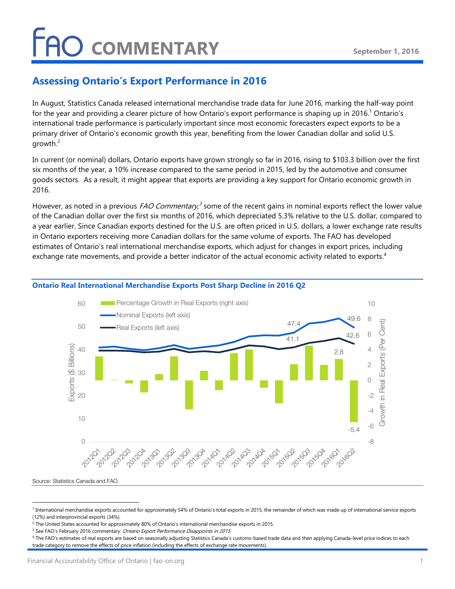## **FAO COMMENTARY**

### Assessing Ontario's Export Performance in 2016

In August, Statistics Canada released international merchandise trade data for June 2016, marking the half-way point for the year and providing a clearer picture of how Ontario's export performance is shaping up in 2016.<sup>1</sup> Ontario's international trade performance is particularly important since most economic forecasters expect exports to be a primary driver of Ontario's economic growth this year, benefiting from the lower Canadian dollar and solid U.S. growth. $2$ 

In current (or nominal) dollars, Ontario exports have grown strongly so far in 2016, rising to \$103.3 billion over the first six months of the year, a 10% increase compared to the same period in 2015, led by the automotive and consumer goods sectors. As a result, it might appear that exports are providing a key support for Ontario economic growth in 2016.

However, as noted in a previous *FAO Commentary*,<sup>3</sup> some of the recent gains in nominal exports reflect the lower value of the Canadian dollar over the first six months of 2016, which depreciated 5.3% relative to the U.S. dollar, compared to a year earlier. Since Canadian exports destined for the U.S. are often priced in U.S. dollars, a lower exchange rate results in Ontario exporters receiving more Canadian dollars for the same volume of exports. The FAO has developed estimates of Ontario's real international merchandise exports, which adjust for changes in export prices, including exchange rate movements, and provide a better indicator of the actual economic activity related to exports.<sup>4</sup>



### Ontario Real International Merchandise Exports Post Sharp Decline in 2016 Q2

Source: Statistics Canada and FAO.

-

<sup>&</sup>lt;sup>1</sup> International merchandise exports accounted for approximately 54% of Ontario's total exports in 2015, the remainder of which was made up of international service exports (12%) and interprovincial exports (34%).

<sup>2</sup> The United States accounted for approximately 80% of Ontario's international merchandise exports in 2015.

<sup>&</sup>lt;sup>3</sup> See FAO's February 2016 commentary: *Ontario Export Performance Disappoints in 2015*.

<sup>4</sup> The FAO's estimates of real exports are based on seasonally adjusting Statistics Canada's customs-based trade data and then applying Canada-level price indices to each trade category to remove the effects of price inflation (including the effects of exchange rate movements).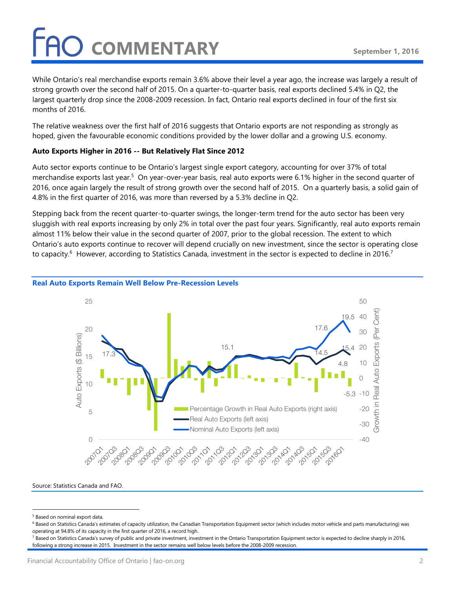# O COMMENTARY

While Ontario's real merchandise exports remain 3.6% above their level a year ago, the increase was largely a result of strong growth over the second half of 2015. On a quarter-to-quarter basis, real exports declined 5.4% in Q2, the largest quarterly drop since the 2008-2009 recession. In fact, Ontario real exports declined in four of the first six months of 2016.

The relative weakness over the first half of 2016 suggests that Ontario exports are not responding as strongly as hoped, given the favourable economic conditions provided by the lower dollar and a growing U.S. economy.

### Auto Exports Higher in 2016 -- But Relatively Flat Since 2012

Auto sector exports continue to be Ontario's largest single export category, accounting for over 37% of total merchandise exports last year.<sup>5</sup> On year-over-year basis, real auto exports were 6.1% higher in the second quarter of 2016, once again largely the result of strong growth over the second half of 2015. On a quarterly basis, a solid gain of 4.8% in the first quarter of 2016, was more than reversed by a 5.3% decline in Q2.

Stepping back from the recent quarter-to-quarter swings, the longer-term trend for the auto sector has been very sluggish with real exports increasing by only 2% in total over the past four years. Significantly, real auto exports remain almost 11% below their value in the second quarter of 2007, prior to the global recession. The extent to which Ontario's auto exports continue to recover will depend crucially on new investment, since the sector is operating close to capacity. $^6\,$  However, according to Statistics Canada, investment in the sector is expected to decline in 2016. $^7\,$ 



#### Real Auto Exports Remain Well Below Pre-Recession Levels

Source: Statistics Canada and FAO.

-

<sup>&</sup>lt;sup>5</sup> Based on nominal export data.

 $^6$  Based on Statistics Canada's estimates of capacity utilization, the Canadian Transportation Equipment sector (which includes motor vehicle and parts manufacturing) was operating at 94.8% of its capacity in the first quarter of 2016, a record high.

<sup>&</sup>lt;sup>7</sup> Based on Statistics Canada's survey of public and private investment, investment in the Ontario Transportation Equipment sector is expected to decline sharply in 2016, following a strong increase in 2015. Investment in the sector remains well below levels before the 2008-2009 recession.